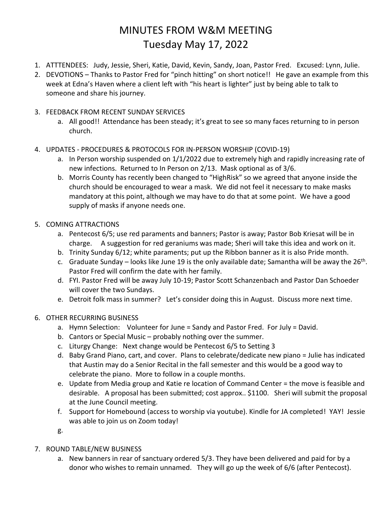# MINUTES FROM W&M MEETING Tuesday May 17, 2022

- 1. ATTTENDEES: Judy, Jessie, Sheri, Katie, David, Kevin, Sandy, Joan, Pastor Fred. Excused: Lynn, Julie.
- 2. DEVOTIONS Thanks to Pastor Fred for "pinch hitting" on short notice!! He gave an example from this week at Edna's Haven where a client left with "his heart is lighter" just by being able to talk to someone and share his journey.

#### 3. FEEDBACK FROM RECENT SUNDAY SERVICES

- a. All good!! Attendance has been steady; it's great to see so many faces returning to in person church.
- 4. UPDATES PROCEDURES & PROTOCOLS FOR IN-PERSON WORSHIP (COVID-19)
	- a. In Person worship suspended on  $1/1/2022$  due to extremely high and rapidly increasing rate of new infections. Returned to In Person on 2/13. Mask optional as of 3/6.
	- b. Morris County has recently been changed to "HighRisk" so we agreed that anyone inside the church should be encouraged to wear a mask. We did not feel it necessary to make masks mandatory at this point, although we may have to do that at some point. We have a good supply of masks if anyone needs one.

#### 5. COMING ATTRACTIONS

- a. Pentecost 6/5; use red paraments and banners; Pastor is away; Pastor Bob Kriesat will be in charge. A suggestion for red geraniums was made; Sheri will take this idea and work on it.
- b. Trinity Sunday 6/12; white paraments; put up the Ribbon banner as it is also Pride month.
- c. Graduate Sunday looks like June 19 is the only available date; Samantha will be away the 26<sup>th</sup>. Pastor Fred will confirm the date with her family.
- d. FYI. Pastor Fred will be away July 10-19; Pastor Scott Schanzenbach and Pastor Dan Schoeder will cover the two Sundays.
- e. Detroit folk mass in summer? Let's consider doing this in August. Discuss more next time.

### 6. OTHER RECURRING BUSINESS

- a. Hymn Selection: Volunteer for June = Sandy and Pastor Fred. For July = David.
- b. Cantors or Special Music probably nothing over the summer.
- c. Liturgy Change: Next change would be Pentecost 6/5 to Setting 3
- d. Baby Grand Piano, cart, and cover. Plans to celebrate/dedicate new piano = Julie has indicated that Austin may do a Senior Recital in the fall semester and this would be a good way to celebrate the piano. More to follow in a couple months.
- e. Update from Media group and Katie re location of Command Center = the move is feasible and desirable. A proposal has been submitted; cost approx.. \$1100. Sheri will submit the proposal at the June Council meeting.
- f. Support for Homebound (access to worship via youtube). Kindle for JA completed! YAY! Jessie was able to join us on Zoom today!
- g.
- 7. ROUND TABLE/NEW BUSINESS
	- a. New banners in rear of sanctuary ordered 5/3. They have been delivered and paid for by a donor who wishes to remain unnamed. They will go up the week of 6/6 (after Pentecost).